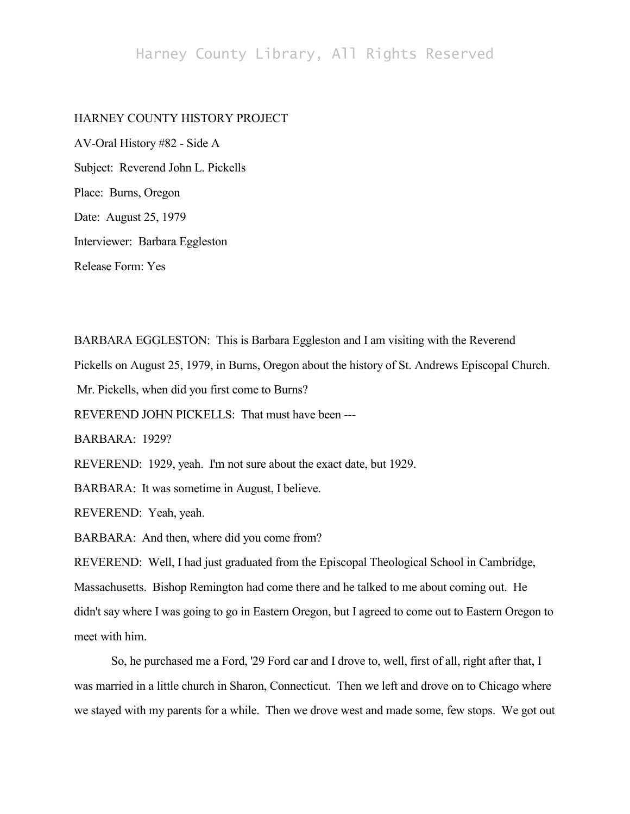## Harney County Library, All Rights Reserved

## HARNEY COUNTY HISTORY PROJECT

AV-Oral History #82 - Side A Subject: Reverend John L. Pickells Place: Burns, Oregon Date: August 25, 1979 Interviewer: Barbara Eggleston Release Form: Yes

BARBARA EGGLESTON: This is Barbara Eggleston and I am visiting with the Reverend Pickells on August 25, 1979, in Burns, Oregon about the history of St. Andrews Episcopal Church. Mr. Pickells, when did you first come to Burns? REVEREND JOHN PICKELLS: That must have been --- BARBARA: 1929? REVEREND: 1929, yeah. I'm not sure about the exact date, but 1929. BARBARA: It was sometime in August, I believe. REVEREND: Yeah, yeah. BARBARA: And then, where did you come from? REVEREND: Well, I had just graduated from the Episcopal Theological School in Cambridge, Massachusetts. Bishop Remington had come there and he talked to me about coming out. He didn't say where I was going to go in Eastern Oregon, but I agreed to come out to Eastern Oregon to

meet with him.

So, he purchased me a Ford, '29 Ford car and I drove to, well, first of all, right after that, I was married in a little church in Sharon, Connecticut. Then we left and drove on to Chicago where we stayed with my parents for a while. Then we drove west and made some, few stops. We got out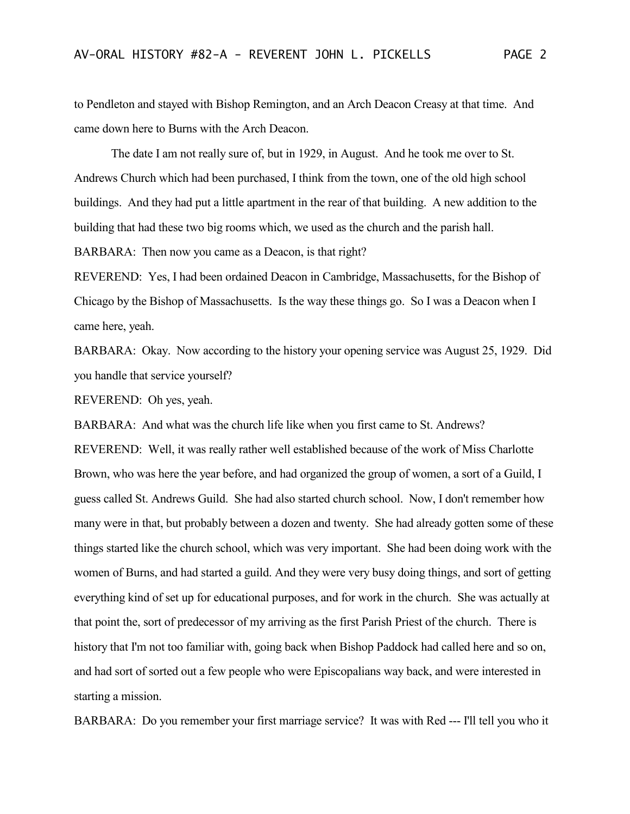to Pendleton and stayed with Bishop Remington, and an Arch Deacon Creasy at that time. And came down here to Burns with the Arch Deacon.

The date I am not really sure of, but in 1929, in August. And he took me over to St. Andrews Church which had been purchased, I think from the town, one of the old high school buildings. And they had put a little apartment in the rear of that building. A new addition to the building that had these two big rooms which, we used as the church and the parish hall. BARBARA: Then now you came as a Deacon, is that right?

REVEREND: Yes, I had been ordained Deacon in Cambridge, Massachusetts, for the Bishop of Chicago by the Bishop of Massachusetts. Is the way these things go. So I was a Deacon when I came here, yeah.

BARBARA: Okay. Now according to the history your opening service was August 25, 1929. Did you handle that service yourself?

REVEREND: Oh yes, yeah.

BARBARA: And what was the church life like when you first came to St. Andrews?

REVEREND: Well, it was really rather well established because of the work of Miss Charlotte Brown, who was here the year before, and had organized the group of women, a sort of a Guild, I guess called St. Andrews Guild. She had also started church school. Now, I don't remember how many were in that, but probably between a dozen and twenty. She had already gotten some of these things started like the church school, which was very important. She had been doing work with the women of Burns, and had started a guild. And they were very busy doing things, and sort of getting everything kind of set up for educational purposes, and for work in the church. She was actually at that point the, sort of predecessor of my arriving as the first Parish Priest of the church. There is history that I'm not too familiar with, going back when Bishop Paddock had called here and so on, and had sort of sorted out a few people who were Episcopalians way back, and were interested in starting a mission.

BARBARA: Do you remember your first marriage service? It was with Red --- I'll tell you who it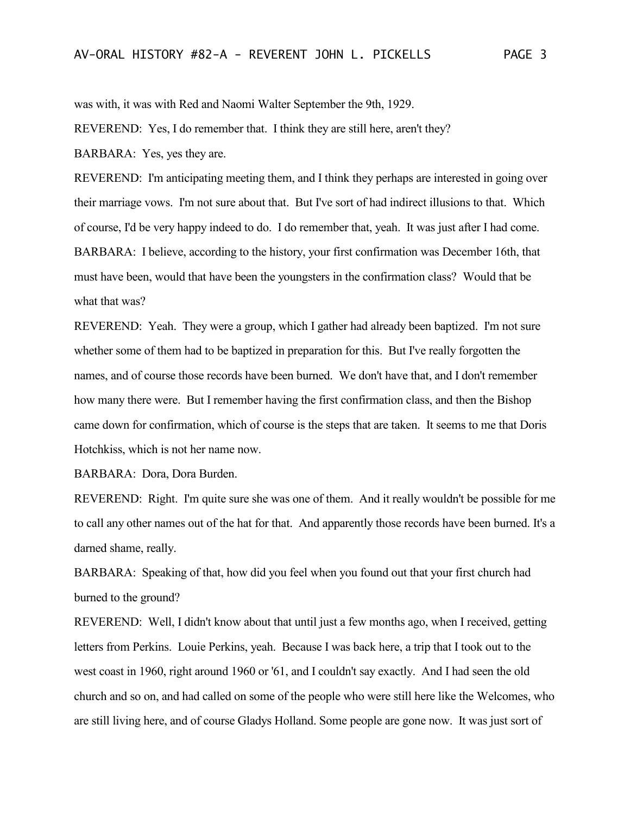was with, it was with Red and Naomi Walter September the 9th, 1929.

REVEREND: Yes, I do remember that. I think they are still here, aren't they?

BARBARA: Yes, yes they are.

REVEREND: I'm anticipating meeting them, and I think they perhaps are interested in going over their marriage vows. I'm not sure about that. But I've sort of had indirect illusions to that. Which of course, I'd be very happy indeed to do. I do remember that, yeah. It was just after I had come. BARBARA: I believe, according to the history, your first confirmation was December 16th, that must have been, would that have been the youngsters in the confirmation class? Would that be what that was?

REVEREND: Yeah. They were a group, which I gather had already been baptized. I'm not sure whether some of them had to be baptized in preparation for this. But I've really forgotten the names, and of course those records have been burned. We don't have that, and I don't remember how many there were. But I remember having the first confirmation class, and then the Bishop came down for confirmation, which of course is the steps that are taken. It seems to me that Doris Hotchkiss, which is not her name now.

BARBARA: Dora, Dora Burden.

REVEREND: Right. I'm quite sure she was one of them. And it really wouldn't be possible for me to call any other names out of the hat for that. And apparently those records have been burned. It's a darned shame, really.

BARBARA: Speaking of that, how did you feel when you found out that your first church had burned to the ground?

REVEREND: Well, I didn't know about that until just a few months ago, when I received, getting letters from Perkins. Louie Perkins, yeah. Because I was back here, a trip that I took out to the west coast in 1960, right around 1960 or '61, and I couldn't say exactly. And I had seen the old church and so on, and had called on some of the people who were still here like the Welcomes, who are still living here, and of course Gladys Holland. Some people are gone now. It was just sort of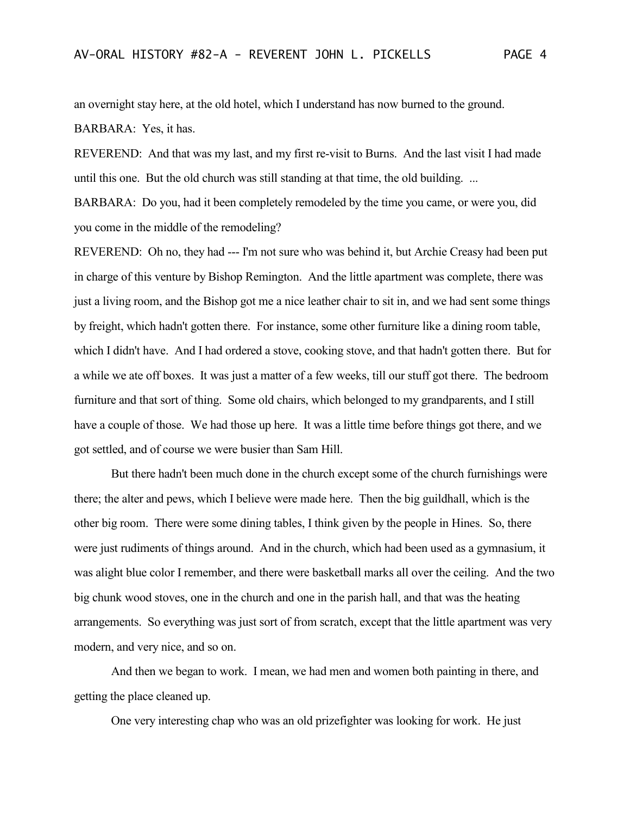an overnight stay here, at the old hotel, which I understand has now burned to the ground. BARBARA: Yes, it has.

REVEREND: And that was my last, and my first re-visit to Burns. And the last visit I had made until this one. But the old church was still standing at that time, the old building. ...

BARBARA: Do you, had it been completely remodeled by the time you came, or were you, did you come in the middle of the remodeling?

REVEREND: Oh no, they had --- I'm not sure who was behind it, but Archie Creasy had been put in charge of this venture by Bishop Remington. And the little apartment was complete, there was just a living room, and the Bishop got me a nice leather chair to sit in, and we had sent some things by freight, which hadn't gotten there. For instance, some other furniture like a dining room table, which I didn't have. And I had ordered a stove, cooking stove, and that hadn't gotten there. But for a while we ate off boxes. It was just a matter of a few weeks, till our stuff got there. The bedroom furniture and that sort of thing. Some old chairs, which belonged to my grandparents, and I still have a couple of those. We had those up here. It was a little time before things got there, and we got settled, and of course we were busier than Sam Hill.

But there hadn't been much done in the church except some of the church furnishings were there; the alter and pews, which I believe were made here. Then the big guildhall, which is the other big room. There were some dining tables, I think given by the people in Hines. So, there were just rudiments of things around. And in the church, which had been used as a gymnasium, it was alight blue color I remember, and there were basketball marks all over the ceiling. And the two big chunk wood stoves, one in the church and one in the parish hall, and that was the heating arrangements. So everything was just sort of from scratch, except that the little apartment was very modern, and very nice, and so on.

And then we began to work. I mean, we had men and women both painting in there, and getting the place cleaned up.

One very interesting chap who was an old prizefighter was looking for work. He just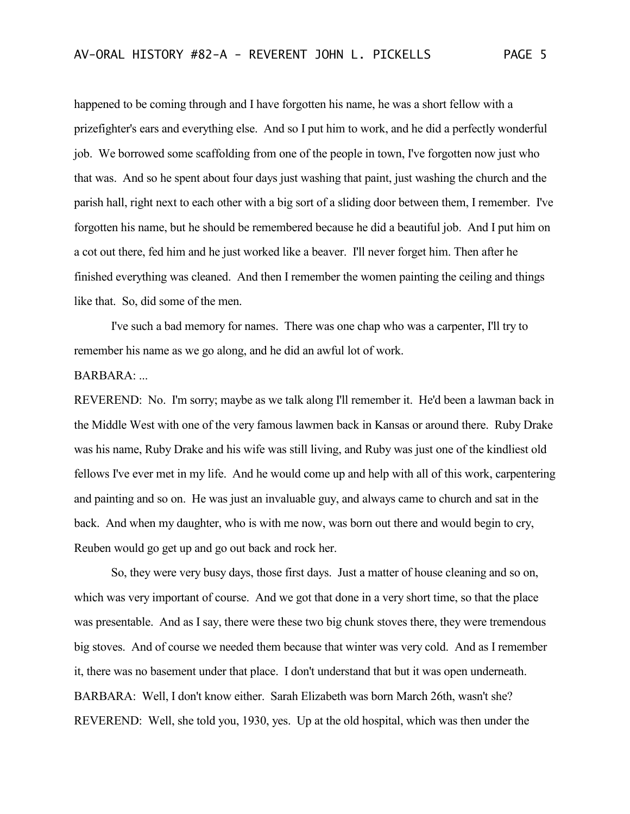happened to be coming through and I have forgotten his name, he was a short fellow with a prizefighter's ears and everything else. And so I put him to work, and he did a perfectly wonderful job. We borrowed some scaffolding from one of the people in town, I've forgotten now just who that was. And so he spent about four days just washing that paint, just washing the church and the parish hall, right next to each other with a big sort of a sliding door between them, I remember. I've forgotten his name, but he should be remembered because he did a beautiful job. And I put him on a cot out there, fed him and he just worked like a beaver. I'll never forget him. Then after he finished everything was cleaned. And then I remember the women painting the ceiling and things like that. So, did some of the men.

I've such a bad memory for names. There was one chap who was a carpenter, I'll try to remember his name as we go along, and he did an awful lot of work.

## $BARBARA$ :

REVEREND: No. I'm sorry; maybe as we talk along I'll remember it. He'd been a lawman back in the Middle West with one of the very famous lawmen back in Kansas or around there. Ruby Drake was his name, Ruby Drake and his wife was still living, and Ruby was just one of the kindliest old fellows I've ever met in my life. And he would come up and help with all of this work, carpentering and painting and so on. He was just an invaluable guy, and always came to church and sat in the back. And when my daughter, who is with me now, was born out there and would begin to cry, Reuben would go get up and go out back and rock her.

So, they were very busy days, those first days. Just a matter of house cleaning and so on, which was very important of course. And we got that done in a very short time, so that the place was presentable. And as I say, there were these two big chunk stoves there, they were tremendous big stoves. And of course we needed them because that winter was very cold. And as I remember it, there was no basement under that place. I don't understand that but it was open underneath. BARBARA: Well, I don't know either. Sarah Elizabeth was born March 26th, wasn't she? REVEREND: Well, she told you, 1930, yes. Up at the old hospital, which was then under the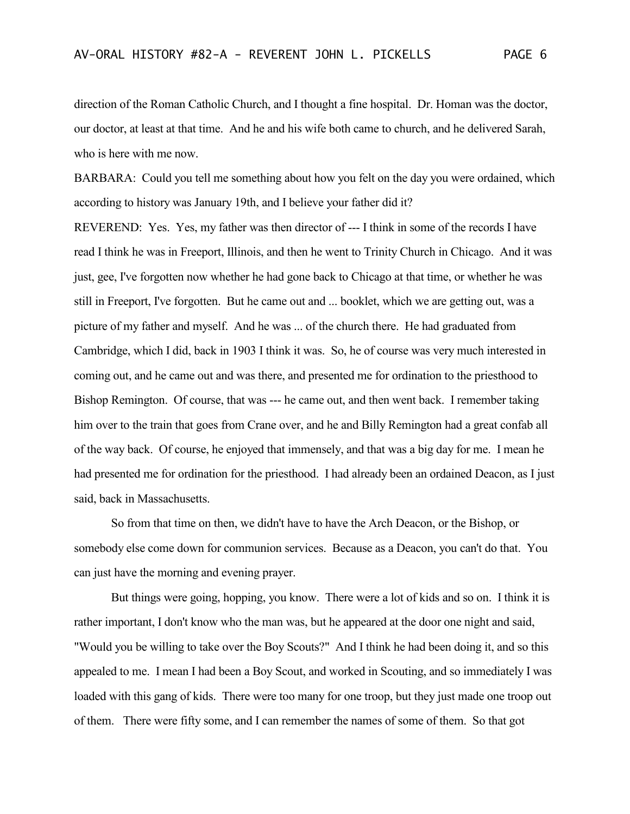direction of the Roman Catholic Church, and I thought a fine hospital. Dr. Homan was the doctor, our doctor, at least at that time. And he and his wife both came to church, and he delivered Sarah, who is here with me now.

BARBARA: Could you tell me something about how you felt on the day you were ordained, which according to history was January 19th, and I believe your father did it?

REVEREND: Yes. Yes, my father was then director of --- I think in some of the records I have read I think he was in Freeport, Illinois, and then he went to Trinity Church in Chicago. And it was just, gee, I've forgotten now whether he had gone back to Chicago at that time, or whether he was still in Freeport, I've forgotten. But he came out and ... booklet, which we are getting out, was a picture of my father and myself. And he was ... of the church there. He had graduated from Cambridge, which I did, back in 1903 I think it was. So, he of course was very much interested in coming out, and he came out and was there, and presented me for ordination to the priesthood to Bishop Remington. Of course, that was --- he came out, and then went back. I remember taking him over to the train that goes from Crane over, and he and Billy Remington had a great confab all of the way back. Of course, he enjoyed that immensely, and that was a big day for me. I mean he had presented me for ordination for the priesthood. I had already been an ordained Deacon, as I just said, back in Massachusetts.

So from that time on then, we didn't have to have the Arch Deacon, or the Bishop, or somebody else come down for communion services. Because as a Deacon, you can't do that. You can just have the morning and evening prayer.

But things were going, hopping, you know. There were a lot of kids and so on. I think it is rather important, I don't know who the man was, but he appeared at the door one night and said, "Would you be willing to take over the Boy Scouts?" And I think he had been doing it, and so this appealed to me. I mean I had been a Boy Scout, and worked in Scouting, and so immediately I was loaded with this gang of kids. There were too many for one troop, but they just made one troop out of them. There were fifty some, and I can remember the names of some of them. So that got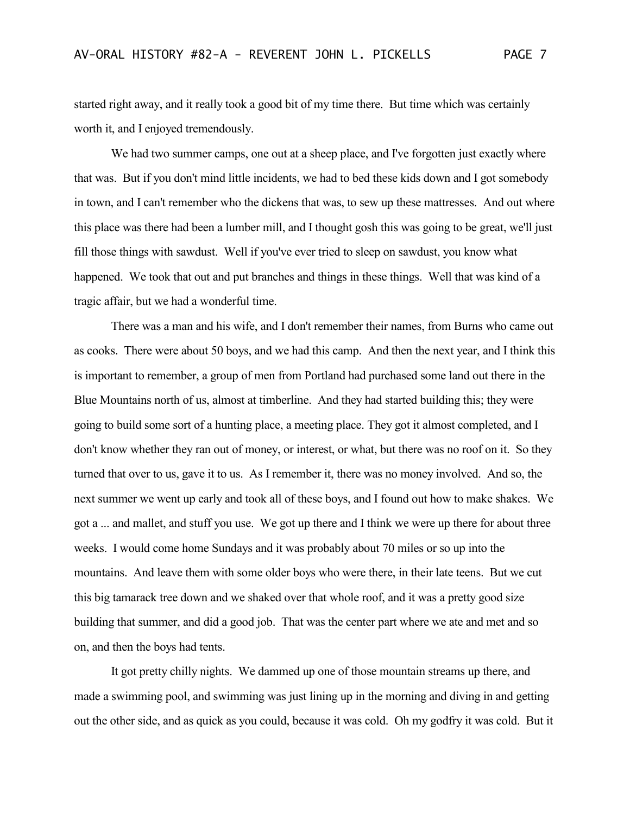started right away, and it really took a good bit of my time there. But time which was certainly worth it, and I enjoyed tremendously.

We had two summer camps, one out at a sheep place, and I've forgotten just exactly where that was. But if you don't mind little incidents, we had to bed these kids down and I got somebody in town, and I can't remember who the dickens that was, to sew up these mattresses. And out where this place was there had been a lumber mill, and I thought gosh this was going to be great, we'll just fill those things with sawdust. Well if you've ever tried to sleep on sawdust, you know what happened. We took that out and put branches and things in these things. Well that was kind of a tragic affair, but we had a wonderful time.

There was a man and his wife, and I don't remember their names, from Burns who came out as cooks. There were about 50 boys, and we had this camp. And then the next year, and I think this is important to remember, a group of men from Portland had purchased some land out there in the Blue Mountains north of us, almost at timberline. And they had started building this; they were going to build some sort of a hunting place, a meeting place. They got it almost completed, and I don't know whether they ran out of money, or interest, or what, but there was no roof on it. So they turned that over to us, gave it to us. As I remember it, there was no money involved. And so, the next summer we went up early and took all of these boys, and I found out how to make shakes. We got a ... and mallet, and stuff you use. We got up there and I think we were up there for about three weeks. I would come home Sundays and it was probably about 70 miles or so up into the mountains. And leave them with some older boys who were there, in their late teens. But we cut this big tamarack tree down and we shaked over that whole roof, and it was a pretty good size building that summer, and did a good job. That was the center part where we ate and met and so on, and then the boys had tents.

It got pretty chilly nights. We dammed up one of those mountain streams up there, and made a swimming pool, and swimming was just lining up in the morning and diving in and getting out the other side, and as quick as you could, because it was cold. Oh my godfry it was cold. But it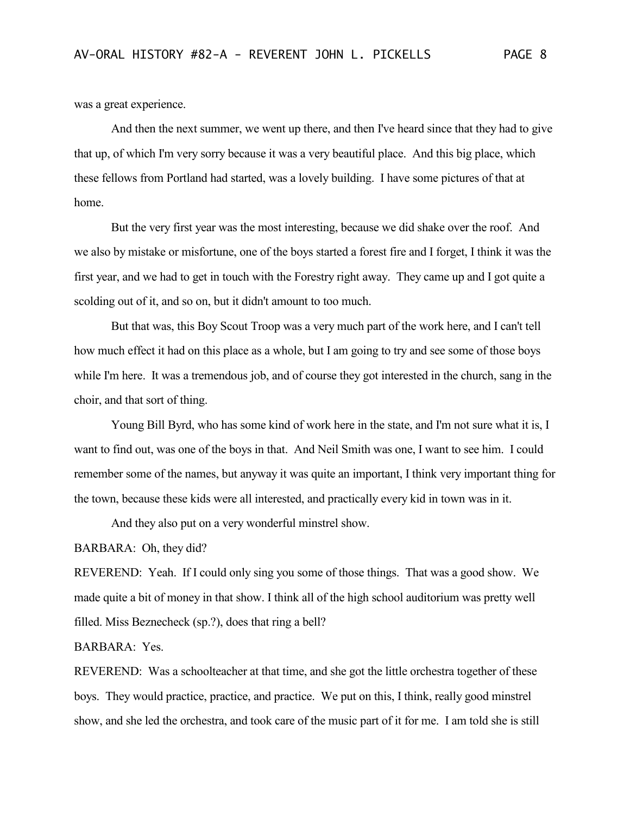was a great experience.

And then the next summer, we went up there, and then I've heard since that they had to give that up, of which I'm very sorry because it was a very beautiful place. And this big place, which these fellows from Portland had started, was a lovely building. I have some pictures of that at home.

But the very first year was the most interesting, because we did shake over the roof. And we also by mistake or misfortune, one of the boys started a forest fire and I forget, I think it was the first year, and we had to get in touch with the Forestry right away. They came up and I got quite a scolding out of it, and so on, but it didn't amount to too much.

But that was, this Boy Scout Troop was a very much part of the work here, and I can't tell how much effect it had on this place as a whole, but I am going to try and see some of those boys while I'm here. It was a tremendous job, and of course they got interested in the church, sang in the choir, and that sort of thing.

Young Bill Byrd, who has some kind of work here in the state, and I'm not sure what it is, I want to find out, was one of the boys in that. And Neil Smith was one, I want to see him. I could remember some of the names, but anyway it was quite an important, I think very important thing for the town, because these kids were all interested, and practically every kid in town was in it.

And they also put on a very wonderful minstrel show.

BARBARA: Oh, they did?

REVEREND: Yeah. If I could only sing you some of those things. That was a good show. We made quite a bit of money in that show. I think all of the high school auditorium was pretty well filled. Miss Beznecheck (sp.?), does that ring a bell?

BARBARA: Yes.

REVEREND: Was a schoolteacher at that time, and she got the little orchestra together of these boys. They would practice, practice, and practice. We put on this, I think, really good minstrel show, and she led the orchestra, and took care of the music part of it for me. I am told she is still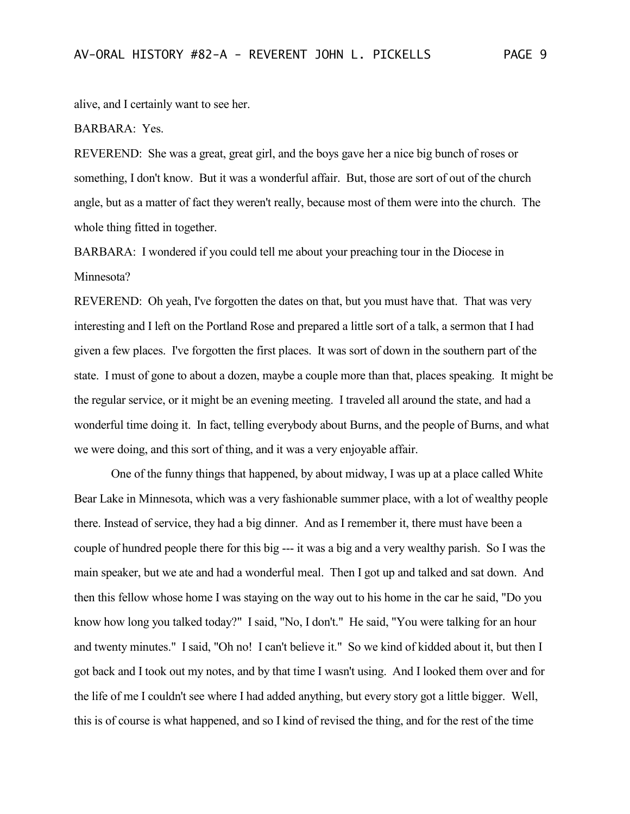alive, and I certainly want to see her.

## BARBARA: Yes.

REVEREND: She was a great, great girl, and the boys gave her a nice big bunch of roses or something, I don't know. But it was a wonderful affair. But, those are sort of out of the church angle, but as a matter of fact they weren't really, because most of them were into the church. The whole thing fitted in together.

BARBARA: I wondered if you could tell me about your preaching tour in the Diocese in Minnesota?

REVEREND: Oh yeah, I've forgotten the dates on that, but you must have that. That was very interesting and I left on the Portland Rose and prepared a little sort of a talk, a sermon that I had given a few places. I've forgotten the first places. It was sort of down in the southern part of the state. I must of gone to about a dozen, maybe a couple more than that, places speaking. It might be the regular service, or it might be an evening meeting. I traveled all around the state, and had a wonderful time doing it. In fact, telling everybody about Burns, and the people of Burns, and what we were doing, and this sort of thing, and it was a very enjoyable affair.

One of the funny things that happened, by about midway, I was up at a place called White Bear Lake in Minnesota, which was a very fashionable summer place, with a lot of wealthy people there. Instead of service, they had a big dinner. And as I remember it, there must have been a couple of hundred people there for this big --- it was a big and a very wealthy parish. So I was the main speaker, but we ate and had a wonderful meal. Then I got up and talked and sat down. And then this fellow whose home I was staying on the way out to his home in the car he said, "Do you know how long you talked today?" I said, "No, I don't." He said, "You were talking for an hour and twenty minutes." I said, "Oh no! I can't believe it." So we kind of kidded about it, but then I got back and I took out my notes, and by that time I wasn't using. And I looked them over and for the life of me I couldn't see where I had added anything, but every story got a little bigger. Well, this is of course is what happened, and so I kind of revised the thing, and for the rest of the time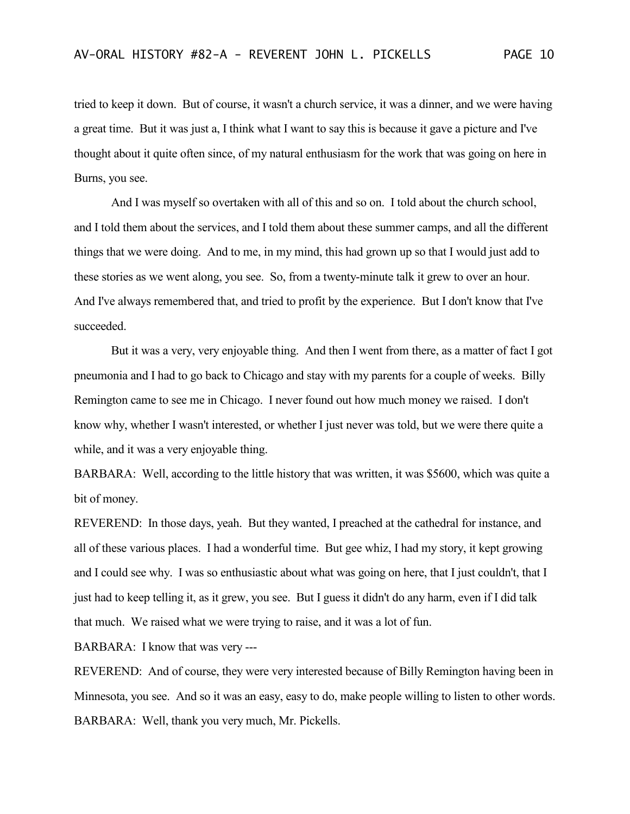tried to keep it down. But of course, it wasn't a church service, it was a dinner, and we were having a great time. But it was just a, I think what I want to say this is because it gave a picture and I've thought about it quite often since, of my natural enthusiasm for the work that was going on here in Burns, you see.

And I was myself so overtaken with all of this and so on. I told about the church school, and I told them about the services, and I told them about these summer camps, and all the different things that we were doing. And to me, in my mind, this had grown up so that I would just add to these stories as we went along, you see. So, from a twenty-minute talk it grew to over an hour. And I've always remembered that, and tried to profit by the experience. But I don't know that I've succeeded.

But it was a very, very enjoyable thing. And then I went from there, as a matter of fact I got pneumonia and I had to go back to Chicago and stay with my parents for a couple of weeks. Billy Remington came to see me in Chicago. I never found out how much money we raised. I don't know why, whether I wasn't interested, or whether I just never was told, but we were there quite a while, and it was a very enjoyable thing.

BARBARA: Well, according to the little history that was written, it was \$5600, which was quite a bit of money.

REVEREND: In those days, yeah. But they wanted, I preached at the cathedral for instance, and all of these various places. I had a wonderful time. But gee whiz, I had my story, it kept growing and I could see why. I was so enthusiastic about what was going on here, that I just couldn't, that I just had to keep telling it, as it grew, you see. But I guess it didn't do any harm, even if I did talk that much. We raised what we were trying to raise, and it was a lot of fun.

BARBARA: I know that was very ---

REVEREND: And of course, they were very interested because of Billy Remington having been in Minnesota, you see. And so it was an easy, easy to do, make people willing to listen to other words. BARBARA: Well, thank you very much, Mr. Pickells.